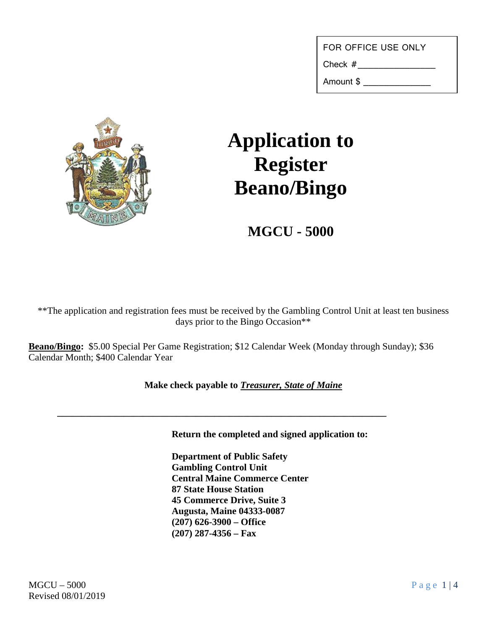Check  $#_{\_}$ 

Amount \$ \_\_\_\_\_\_\_\_\_\_\_\_\_



## **Application to Register Beano/Bingo**

**MGCU - 5000**

\*\*The application and registration fees must be received by the Gambling Control Unit at least ten business days prior to the Bingo Occasion\*\*

**Beano/Bingo:** \$5.00 Special Per Game Registration; \$12 Calendar Week (Monday through Sunday); \$36 Calendar Month; \$400 Calendar Year

**\_\_\_\_\_\_\_\_\_\_\_\_\_\_\_\_\_\_\_\_\_\_\_\_\_\_\_\_\_\_\_\_\_\_\_\_\_\_\_\_\_\_\_\_\_\_\_\_\_\_\_\_\_\_\_\_\_\_\_\_\_\_\_\_\_\_\_\_\_**

**Make check payable to** *Treasurer, State of Maine*

**Return the completed and signed application to:**

**Department of Public Safety Gambling Control Unit Central Maine Commerce Center 87 State House Station 45 Commerce Drive, Suite 3 Augusta, Maine 04333-0087 (207) 626-3900 – Office (207) 287-4356 – Fax**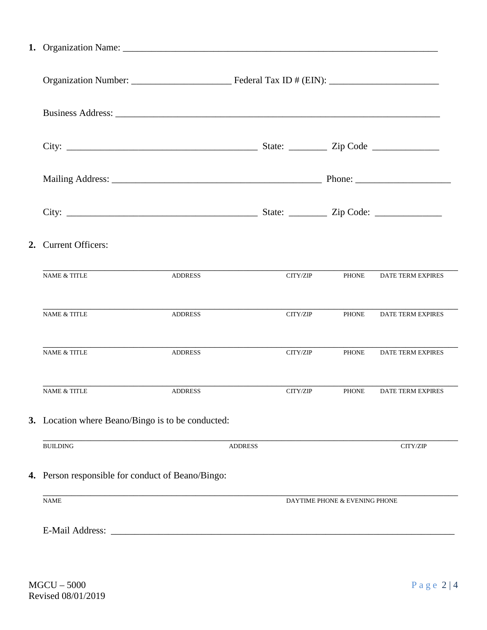| 2. | <b>Current Officers:</b>                          |                |                |                               |                   |  |  |
|----|---------------------------------------------------|----------------|----------------|-------------------------------|-------------------|--|--|
|    | <b>NAME &amp; TITLE</b>                           | <b>ADDRESS</b> | CITY/ZIP       | <b>PHONE</b>                  | DATE TERM EXPIRES |  |  |
|    | <b>NAME &amp; TITLE</b>                           | <b>ADDRESS</b> | CITY/ZIP       | <b>PHONE</b>                  | DATE TERM EXPIRES |  |  |
|    | <b>NAME &amp; TITLE</b>                           | <b>ADDRESS</b> | CITY/ZIP       | <b>PHONE</b>                  | DATE TERM EXPIRES |  |  |
|    | <b>NAME &amp; TITLE</b>                           | <b>ADDRESS</b> | CITY/ZIP       | <b>PHONE</b>                  | DATE TERM EXPIRES |  |  |
|    | 3. Location where Beano/Bingo is to be conducted: |                |                |                               |                   |  |  |
|    | <b>BUILDING</b>                                   |                | <b>ADDRESS</b> |                               | CITY/ZIP          |  |  |
|    | 4. Person responsible for conduct of Beano/Bingo: |                |                |                               |                   |  |  |
|    | <b>NAME</b>                                       |                |                | DAYTIME PHONE & EVENING PHONE |                   |  |  |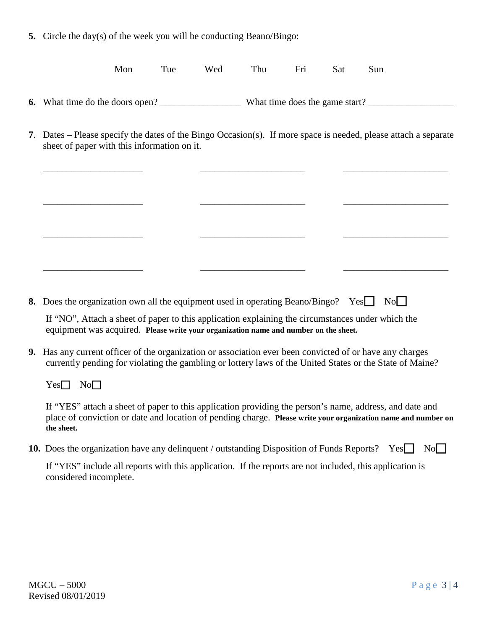**5.** Circle the day(s) of the week you will be conducting Beano/Bingo:

| Mon | l'ue | Wed | Thu | Fri | <b>Sat</b> | Sun |
|-----|------|-----|-----|-----|------------|-----|
|     |      |     |     |     |            |     |

- **6.** What time do the doors open? What time does the game start?
- **7**. Dates Please specify the dates of the Bingo Occasion(s). If more space is needed, please attach a separate sheet of paper with this information on it.

\_\_\_\_\_\_\_\_\_\_\_\_\_\_\_\_\_\_\_\_\_ \_\_\_\_\_\_\_\_\_\_\_\_\_\_\_\_\_\_\_\_\_\_ \_\_\_\_\_\_\_\_\_\_\_\_\_\_\_\_\_\_\_\_\_\_

\_\_\_\_\_\_\_\_\_\_\_\_\_\_\_\_\_\_\_\_\_ \_\_\_\_\_\_\_\_\_\_\_\_\_\_\_\_\_\_\_\_\_\_ \_\_\_\_\_\_\_\_\_\_\_\_\_\_\_\_\_\_\_\_\_\_

\_\_\_\_\_\_\_\_\_\_\_\_\_\_\_\_\_\_\_\_\_ \_\_\_\_\_\_\_\_\_\_\_\_\_\_\_\_\_\_\_\_\_\_ \_\_\_\_\_\_\_\_\_\_\_\_\_\_\_\_\_\_\_\_\_\_

\_\_\_\_\_\_\_\_\_\_\_\_\_\_\_\_\_\_\_\_\_ \_\_\_\_\_\_\_\_\_\_\_\_\_\_\_\_\_\_\_\_\_\_ \_\_\_\_\_\_\_\_\_\_\_\_\_\_\_\_\_\_\_\_\_\_

**8.** Does the organization own all the equipment used in operating Beano/Bingo? Yes No

If "NO", Attach a sheet of paper to this application explaining the circumstances under which the equipment was acquired. **Please write your organization name and number on the sheet.**

**9.** Has any current officer of the organization or association ever been convicted of or have any charges currently pending for violating the gambling or lottery laws of the United States or the State of Maine?

Yes**□** No**□** 

If "YES" attach a sheet of paper to this application providing the person's name, address, and date and place of conviction or date and location of pending charge. **Please write your organization name and number on the sheet.**

**10.** Does the organization have any delinquent / outstanding Disposition of Funds Reports? Yes No

If "YES" include all reports with this application. If the reports are not included, this application is considered incomplete.